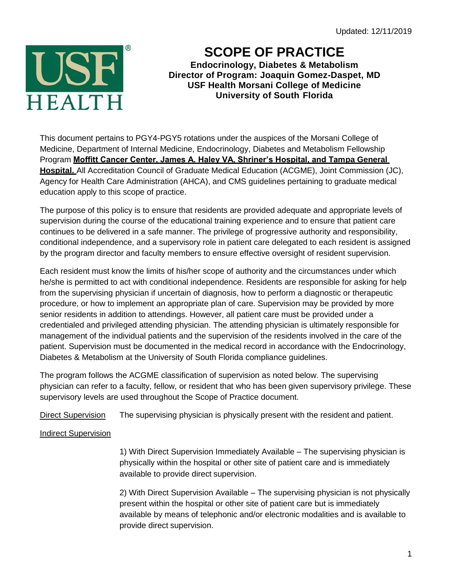Updated: 12/11/2019



# **SCOPE OF PRACTICE**

**Endocrinology, Diabetes & Metabolism Director of Program: Joaquin Gomez-Daspet, MD USF Health Morsani College of Medicine University of South Florida**

This document pertains to PGY4-PGY5 rotations under the auspices of the Morsani College of Medicine, Department of Internal Medicine, Endocrinology, Diabetes and Metabolism Fellowship Program **Moffitt Cancer Center, James A. Haley VA, Shriner's Hospital, and Tampa General Hospital.** All Accreditation Council of Graduate Medical Education (ACGME), Joint Commission (JC), Agency for Health Care Administration (AHCA), and CMS guidelines pertaining to graduate medical education apply to this scope of practice.

The purpose of this policy is to ensure that residents are provided adequate and appropriate levels of supervision during the course of the educational training experience and to ensure that patient care continues to be delivered in a safe manner. The privilege of progressive authority and responsibility, conditional independence, and a supervisory role in patient care delegated to each resident is assigned by the program director and faculty members to ensure effective oversight of resident supervision.

Each resident must know the limits of his/her scope of authority and the circumstances under which he/she is permitted to act with conditional independence. Residents are responsible for asking for help from the supervising physician if uncertain of diagnosis, how to perform a diagnostic or therapeutic procedure, or how to implement an appropriate plan of care. Supervision may be provided by more senior residents in addition to attendings. However, all patient care must be provided under a credentialed and privileged attending physician. The attending physician is ultimately responsible for management of the individual patients and the supervision of the residents involved in the care of the patient. Supervision must be documented in the medical record in accordance with the Endocrinology, Diabetes & Metabolism at the University of South Florida compliance guidelines.

The program follows the ACGME classification of supervision as noted below. The supervising physician can refer to a faculty, fellow, or resident that who has been given supervisory privilege. These supervisory levels are used throughout the Scope of Practice document.

Direct Supervision The supervising physician is physically present with the resident and patient.

# Indirect Supervision

1) With Direct Supervision Immediately Available – The supervising physician is physically within the hospital or other site of patient care and is immediately available to provide direct supervision.

2) With Direct Supervision Available – The supervising physician is not physically present within the hospital or other site of patient care but is immediately available by means of telephonic and/or electronic modalities and is available to provide direct supervision.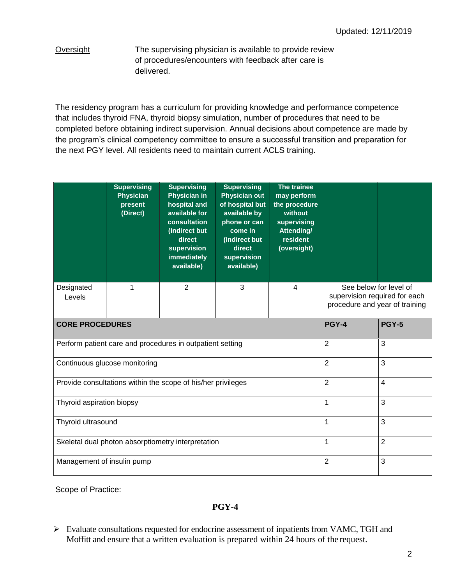Oversight The supervising physician is available to provide review of procedures/encounters with feedback after care is delivered.

The residency program has a curriculum for providing knowledge and performance competence that includes thyroid FNA, thyroid biopsy simulation, number of procedures that need to be completed before obtaining indirect supervision. Annual decisions about competence are made by the program's clinical competency committee to ensure a successful transition and preparation for the next PGY level. All residents need to maintain current ACLS training.

|                                                              | <b>Supervising</b><br><b>Physician</b><br>present<br>(Direct) | <b>Supervising</b><br><b>Physician in</b><br>hospital and<br>available for<br>consultation<br>(Indirect but<br>direct<br>supervision<br>immediately<br>available) | <b>Supervising</b><br><b>Physician out</b><br>of hospital but<br>available by<br>phone or can<br>come in<br>(Indirect but<br>direct<br>supervision<br>available) | The trainee<br>may perform<br>the procedure<br>without<br>supervising<br>Attending/<br>resident<br>(oversight) |                                                                                           |                |
|--------------------------------------------------------------|---------------------------------------------------------------|-------------------------------------------------------------------------------------------------------------------------------------------------------------------|------------------------------------------------------------------------------------------------------------------------------------------------------------------|----------------------------------------------------------------------------------------------------------------|-------------------------------------------------------------------------------------------|----------------|
| Designated<br>Levels                                         | 1                                                             | $\overline{2}$                                                                                                                                                    | 3                                                                                                                                                                | $\overline{4}$                                                                                                 | See below for level of<br>supervision required for each<br>procedure and year of training |                |
| <b>CORE PROCEDURES</b>                                       |                                                               |                                                                                                                                                                   |                                                                                                                                                                  |                                                                                                                | <b>PGY-4</b>                                                                              | <b>PGY-5</b>   |
| Perform patient care and procedures in outpatient setting    |                                                               |                                                                                                                                                                   |                                                                                                                                                                  |                                                                                                                | $\overline{2}$                                                                            | 3              |
| Continuous glucose monitoring                                |                                                               |                                                                                                                                                                   |                                                                                                                                                                  |                                                                                                                | $\overline{2}$                                                                            | 3              |
| Provide consultations within the scope of his/her privileges |                                                               |                                                                                                                                                                   |                                                                                                                                                                  |                                                                                                                | $\overline{2}$                                                                            | 4              |
| Thyroid aspiration biopsy                                    |                                                               |                                                                                                                                                                   |                                                                                                                                                                  |                                                                                                                | 1                                                                                         | 3              |
| Thyroid ultrasound                                           |                                                               |                                                                                                                                                                   |                                                                                                                                                                  |                                                                                                                | 1                                                                                         | 3              |
| Skeletal dual photon absorptiometry interpretation           |                                                               |                                                                                                                                                                   |                                                                                                                                                                  |                                                                                                                | 1                                                                                         | $\overline{2}$ |
| Management of insulin pump                                   |                                                               |                                                                                                                                                                   |                                                                                                                                                                  |                                                                                                                | $\overline{2}$                                                                            | 3              |

Scope of Practice:

## **PGY-4**

 Evaluate consultations requested for endocrine assessment of inpatients from VAMC, TGH and Moffitt and ensure that a written evaluation is prepared within 24 hours of the request.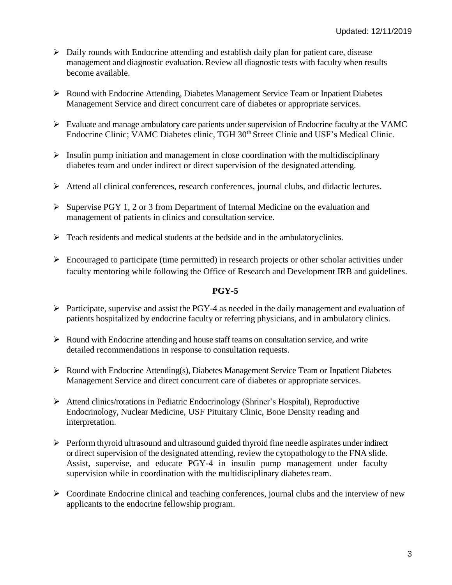- $\triangleright$  Daily rounds with Endocrine attending and establish daily plan for patient care, disease management and diagnostic evaluation. Review all diagnostic tests with faculty when results become available.
- Round with Endocrine Attending, Diabetes Management Service Team or Inpatient Diabetes Management Service and direct concurrent care of diabetes or appropriate services.
- $\triangleright$  Evaluate and manage ambulatory care patients under supervision of Endocrine faculty at the VAMC Endocrine Clinic; VAMC Diabetes clinic, TGH 30<sup>th</sup> Street Clinic and USF's Medical Clinic.
- $\triangleright$  Insulin pump initiation and management in close coordination with the multidisciplinary diabetes team and under indirect or direct supervision of the designated attending.
- $\triangleright$  Attend all clinical conferences, research conferences, journal clubs, and didactic lectures.
- $\triangleright$  Supervise PGY 1, 2 or 3 from Department of Internal Medicine on the evaluation and management of patients in clinics and consultation service.
- $\triangleright$  Teach residents and medical students at the bedside and in the ambulatoryclinics.
- $\triangleright$  Encouraged to participate (time permitted) in research projects or other scholar activities under faculty mentoring while following the Office of Research and Development IRB and guidelines.

### **PGY-5**

- $\triangleright$  Participate, supervise and assist the PGY-4 as needed in the daily management and evaluation of patients hospitalized by endocrine faculty or referring physicians, and in ambulatory clinics.
- $\triangleright$  Round with Endocrine attending and house staff teams on consultation service, and write detailed recommendations in response to consultation requests.
- $\triangleright$  Round with Endocrine Attending(s), Diabetes Management Service Team or Inpatient Diabetes Management Service and direct concurrent care of diabetes or appropriate services.
- Attend clinics/rotations in Pediatric Endocrinology (Shriner's Hospital), Reproductive Endocrinology, Nuclear Medicine, USF Pituitary Clinic, Bone Density reading and interpretation.
- $\triangleright$  Perform thyroid ultrasound and ultrasound guided thyroid fine needle aspirates under indirect or direct supervision of the designated attending, review the cytopathology to the FNA slide. Assist, supervise, and educate PGY-4 in insulin pump management under faculty supervision while in coordination with the multidisciplinary diabetes team.
- $\triangleright$  Coordinate Endocrine clinical and teaching conferences, journal clubs and the interview of new applicants to the endocrine fellowship program.